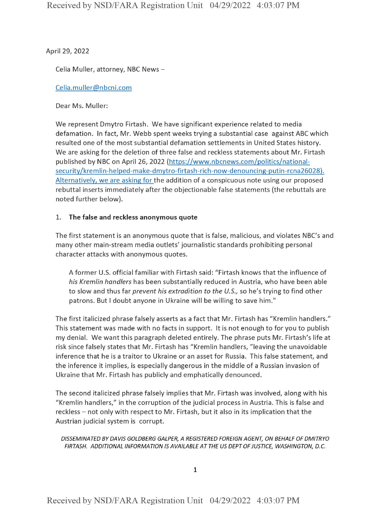April 29, *2022*

Celia Muller, attorney, NBC News-

Celia.muller@nbcni.com

Dear Ms. Muller:

We represent Dmytro Firtash. We have significant experience related to media defamation. In fact, Mr. Webb spent weeks trying a substantial case against ABC which resulted one of the most substantial defamation settlements in United States history. We are asking for the deletion of three false and reckless statements about Mr. Firtash published by NBC on April 26, 2022 (https://www.nbcnews.com/politics/nationalsecuritv/kremlin-helped-make-dmytro-firtash-rich-now-denouncing-putin-rcna26028). Alternatively, we are asking for the addition of <sup>a</sup> conspicuous note using our proposed rebuttal inserts immediately after the objectionable false statements (the rebuttals are noted further below).

## **1. The false and reckless anonymous quote**

The first statement is an anonymous quote that is false, malicious, and violates NBC's and many other main-stream media outlets' journalistic standards prohibiting personal character attacks with anonymous quotes.

A former U.S. official familiar with Firtash said: "Firtash knows that the influence of *his Kremlin handlers* has been substantially reduced in Austria, who have been able to slow and thus far *prevent his extradition to the U.S.,* so he's trying to find other patrons. But <sup>I</sup> doubt anyone in Ukraine will be willing to save him."

The first italicized phrase falsely asserts as <sup>a</sup> fact that Mr. Firtash has "Kremlin handlers." This statement was made with no facts in support. It is not enough to for you to publish my denial. We want this paragraph deleted entirely. The phrase puts Mr. Firtash's life at risk since falsely states that Mr. Firtash has "Kremlin handlers, "leaving the unavoidable inference that he is <sup>a</sup> traitor to Ukraine or an asset for Russia. This false statement, and the inference it implies, is especially dangerous in the middle of <sup>a</sup> Russian invasion of Ukraine that Mr. Firtash has publicly and emphatically denounced.

The second italicized phrase falsely implies that Mr. Firtash was involved, along with his "Kremlin handlers," in the corruption of the judicial process in Austria. This is false and reckless – not only with respect to Mr. Firtash, but it also in its implication that the Austrian judicial system is corrupt.

*DISSEMINATED BY DAVIS GOLDBERG GALPER, A REGISTERED FOREIGN AGENT, ON BEHALF OF DMITRYO FIRTASH. ADDITIONAL INFORMATION IS AVAILABLE AT THE US DEPTOFJUSTICE, WASHINGTON, D.C.*

1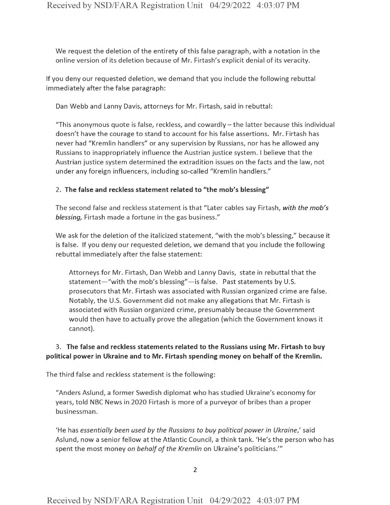We request the deletion of the entirety of this false paragraph, with a notation in the online version of its deletion because of Mr. Firtash's explicit denial of its veracity.

If you deny our requested deletion, we demand that you include the following rebuttal immediately after the false paragraph:

Dan Webb and Lanny Davis, attorneys for Mr. Firtash, said in rebuttal:

"This anonymous quote is false, reckless, and cowardly-the latter because this individual doesn't have the courage to stand to account for his false assertions. Mr. Firtash has never had "Kremlin handlers" or any supervision by Russians, nor has he allowed any Russians to inappropriately influence the Austrian justice system. <sup>I</sup> believe that the Austrian justice system determined the extradition issues on the facts and the law, not under any foreign influencers, including so-called "Kremlin handlers."

## 2. **The false and reckless statement related to "the mob's blessing"**

The second false and reckless statement is that "Later cables say Firtash, *with the mob's blessing,* Firtash made a fortune in the gas business."

We ask for the deletion of the italicized statement, "with the mob's blessing," because it is false. If you deny our requested deletion, we demand that you include the following rebuttal immediately after the false statement:

Attorneys for Mr. Firtash, Dan Webb and Lanny Davis, state in rebuttal that the statement—"with the mob's blessing"—is false. Past statements by U.S. prosecutors that Mr. Firtash was associated with Russian organized crime are false. Notably, the U.S. Government did not make any allegations that Mr. Firtash is associated with Russian organized crime, presumably because the Government would then have to actually prove the allegation (which the Government knows it cannot).

## 3. **The false and reckless statements related to the Russians using Mr. Firtash to buy political power in Ukraine and to Mr. Firtash spending money on behalf of the Kremlin.**

The third false and reckless statement is the following:

"Anders Aslund, a former Swedish diplomat who has studied Ukraine's economy for years, told NBC News in 2020 Firtash is more of a purveyor of bribes than a proper businessman.

'He has *essentially been used by the Russians to buy political power in Ukraine/* said Aslund, now a senior fellow at the Atlantic Council, a think tank. 'He's the person who has spent the most money on behalf of the *Kremlin* on Ukraine's politicians.'"

2